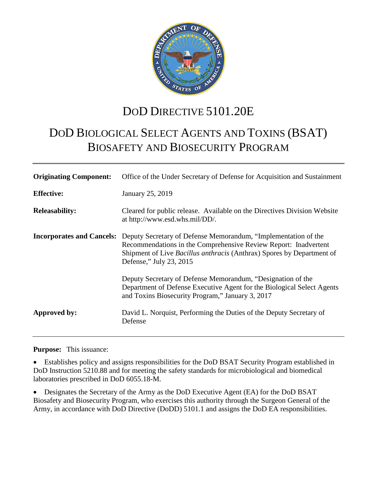

## DOD DIRECTIVE 5101.20E

# DOD BIOLOGICAL SELECT AGENTS AND TOXINS (BSAT) BIOSAFETY AND BIOSECURITY PROGRAM

| <b>Originating Component:</b> | Office of the Under Secretary of Defense for Acquisition and Sustainment                                                                                                                                                                                               |
|-------------------------------|------------------------------------------------------------------------------------------------------------------------------------------------------------------------------------------------------------------------------------------------------------------------|
| <b>Effective:</b>             | January 25, 2019                                                                                                                                                                                                                                                       |
| <b>Releasability:</b>         | Cleared for public release. Available on the Directives Division Website<br>at http://www.esd.whs.mil/DD/.                                                                                                                                                             |
|                               | <b>Incorporates and Cancels:</b> Deputy Secretary of Defense Memorandum, "Implementation of the<br>Recommendations in the Comprehensive Review Report: Inadvertent<br>Shipment of Live Bacillus anthracis (Anthrax) Spores by Department of<br>Defense," July 23, 2015 |
|                               | Deputy Secretary of Defense Memorandum, "Designation of the<br>Department of Defense Executive Agent for the Biological Select Agents<br>and Toxins Biosecurity Program," January 3, 2017                                                                              |
| Approved by:                  | David L. Norquist, Performing the Duties of the Deputy Secretary of<br>Defense                                                                                                                                                                                         |

**Purpose:** This issuance:

• Establishes policy and assigns responsibilities for the DoD BSAT Security Program established in DoD Instruction 5210.88 and for meeting the safety standards for microbiological and biomedical laboratories prescribed in DoD 6055.18-M.

• Designates the Secretary of the Army as the DoD Executive Agent (EA) for the DoD BSAT Biosafety and Biosecurity Program, who exercises this authority through the Surgeon General of the Army, in accordance with DoD Directive (DoDD) 5101.1 and assigns the DoD EA responsibilities.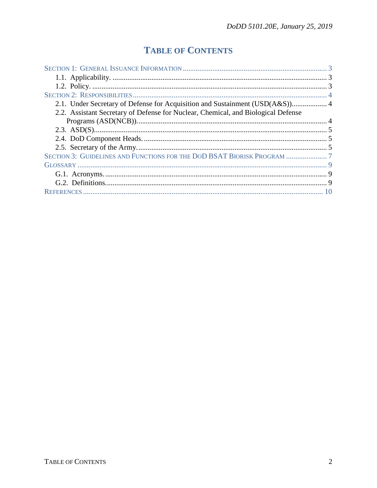## **TABLE OF CONTENTS**

| 2.1. Under Secretary of Defense for Acquisition and Sustainment (USD(A&S)) 4      |  |
|-----------------------------------------------------------------------------------|--|
| 2.2. Assistant Secretary of Defense for Nuclear, Chemical, and Biological Defense |  |
|                                                                                   |  |
|                                                                                   |  |
|                                                                                   |  |
|                                                                                   |  |
|                                                                                   |  |
|                                                                                   |  |
|                                                                                   |  |
|                                                                                   |  |
|                                                                                   |  |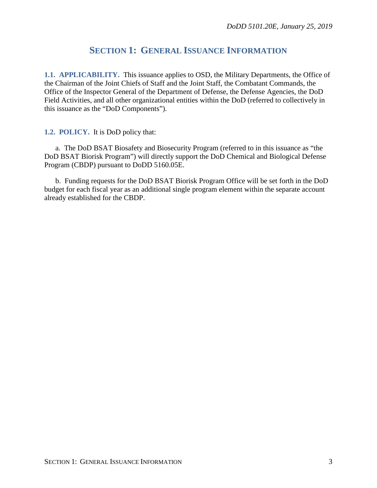## **SECTION 1: GENERAL ISSUANCE INFORMATION**

<span id="page-2-1"></span><span id="page-2-0"></span>**1.1. APPLICABILITY.** This issuance applies to OSD, the Military Departments, the Office of the Chairman of the Joint Chiefs of Staff and the Joint Staff, the Combatant Commands, the Office of the Inspector General of the Department of Defense, the Defense Agencies, the DoD Field Activities, and all other organizational entities within the DoD (referred to collectively in this issuance as the "DoD Components").

#### <span id="page-2-2"></span>**1.2. POLICY.** It is DoD policy that:

a. The DoD BSAT Biosafety and Biosecurity Program (referred to in this issuance as "the DoD BSAT Biorisk Program") will directly support the DoD Chemical and Biological Defense Program (CBDP) pursuant to DoDD 5160.05E.

b. Funding requests for the DoD BSAT Biorisk Program Office will be set forth in the DoD budget for each fiscal year as an additional single program element within the separate account already established for the CBDP.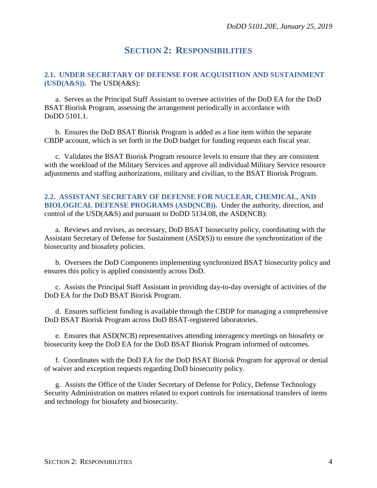### **SECTION 2: RESPONSIBILITIES**

#### <span id="page-3-1"></span><span id="page-3-0"></span>**2.1. UNDER SECRETARY OF DEFENSE FOR ACQUISITION AND SUSTAINMENT (USD(A&S)).** The USD(A&S):

a. Serves as the Principal Staff Assistant to oversee activities of the DoD EA for the DoD BSAT Biorisk Program, assessing the arrangement periodically in accordance with DoDD 5101.1.

b. Ensures the DoD BSAT Biorisk Program is added as a line item within the separate CBDP account, which is set forth in the DoD budget for funding requests each fiscal year.

c. Validates the BSAT Biorisk Program resource levels to ensure that they are consistent with the workload of the Military Services and approve all individual Military Service resource adjustments and staffing authorizations, military and civilian, to the BSAT Biorisk Program.

#### <span id="page-3-2"></span>**2.2. ASSISTANT SECRETARY OF DEFENSE FOR NUCLEAR, CHEMICAL, AND BIOLOGICAL DEFENSE PROGRAMS (ASD(NCB)).** Under the authority, direction, and control of the USD(A&S) and pursuant to DoDD 5134.08, the ASD(NCB):

a. Reviews and revises, as necessary, DoD BSAT biosecurity policy, coordinating with the Assistant Secretary of Defense for Sustainment (ASD(S)) to ensure the synchronization of the biosecurity and biosafety policies.

b. Oversees the DoD Components implementing synchronized BSAT biosecurity policy and ensures this policy is applied consistently across DoD.

c. Assists the Principal Staff Assistant in providing day-to-day oversight of activities of the DoD EA for the DoD BSAT Biorisk Program.

d. Ensures sufficient funding is available through the CBDP for managing a comprehensive DoD BSAT Biorisk Program across DoD BSAT-registered laboratories.

e. Ensures that ASD(NCB) representatives attending interagency meetings on biosafety or biosecurity keep the DoD EA for the DoD BSAT Biorisk Program informed of outcomes.

f. Coordinates with the DoD EA for the DoD BSAT Biorisk Program for approval or denial of waiver and exception requests regarding DoD biosecurity policy.

g. Assists the Office of the Under Secretary of Defense for Policy, Defense Technology Security Administration on matters related to export controls for international transfers of items and technology for biosafety and biosecurity.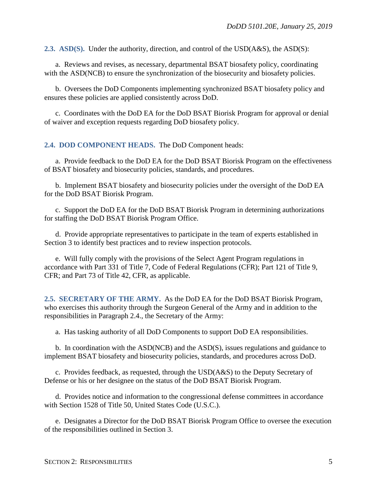<span id="page-4-0"></span>**2.3. ASD(S).** Under the authority, direction, and control of the USD(A&S), the ASD(S):

a. Reviews and revises, as necessary, departmental BSAT biosafety policy, coordinating with the ASD(NCB) to ensure the synchronization of the biosecurity and biosafety policies.

b. Oversees the DoD Components implementing synchronized BSAT biosafety policy and ensures these policies are applied consistently across DoD.

c. Coordinates with the DoD EA for the DoD BSAT Biorisk Program for approval or denial of waiver and exception requests regarding DoD biosafety policy.

<span id="page-4-1"></span>**2.4. DOD COMPONENT HEADS.** The DoD Component heads:

a. Provide feedback to the DoD EA for the DoD BSAT Biorisk Program on the effectiveness of BSAT biosafety and biosecurity policies, standards, and procedures.

b. Implement BSAT biosafety and biosecurity policies under the oversight of the DoD EA for the DoD BSAT Biorisk Program.

c. Support the DoD EA for the DoD BSAT Biorisk Program in determining authorizations for staffing the DoD BSAT Biorisk Program Office.

d. Provide appropriate representatives to participate in the team of experts established in Section 3 to identify best practices and to review inspection protocols.

e. Will fully comply with the provisions of the Select Agent Program regulations in accordance with Part 331 of Title 7, Code of Federal Regulations (CFR); Part 121 of Title 9, CFR; and Part 73 of Title 42, CFR, as applicable.

<span id="page-4-2"></span>**2.5. SECRETARY OF THE ARMY.** As the DoD EA for the DoD BSAT Biorisk Program, who exercises this authority through the Surgeon General of the Army and in addition to the responsibilities in Paragraph 2.4., the Secretary of the Army:

a. Has tasking authority of all DoD Components to support DoD EA responsibilities.

b. In coordination with the ASD(NCB) and the ASD(S), issues regulations and guidance to implement BSAT biosafety and biosecurity policies, standards, and procedures across DoD.

c. Provides feedback, as requested, through the USD(A&S) to the Deputy Secretary of Defense or his or her designee on the status of the DoD BSAT Biorisk Program.

d. Provides notice and information to the congressional defense committees in accordance with Section 1528 of Title 50, United States Code (U.S.C.).

e. Designates a Director for the DoD BSAT Biorisk Program Office to oversee the execution of the responsibilities outlined in Section 3.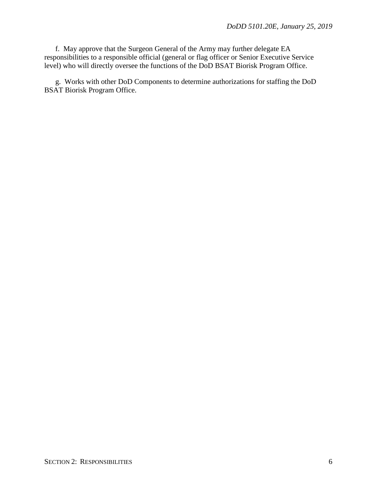f. May approve that the Surgeon General of the Army may further delegate EA responsibilities to a responsible official (general or flag officer or Senior Executive Service level) who will directly oversee the functions of the DoD BSAT Biorisk Program Office.

g. Works with other DoD Components to determine authorizations for staffing the DoD BSAT Biorisk Program Office.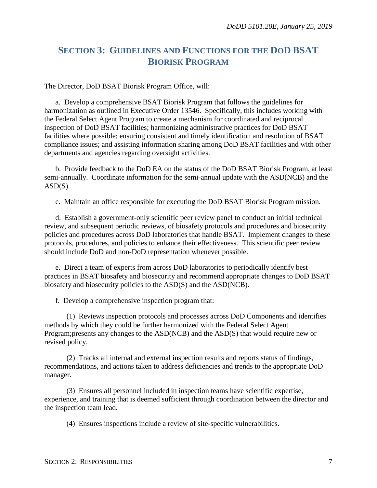## <span id="page-6-0"></span>**SECTION 3: GUIDELINES AND FUNCTIONS FOR THE DOD BSAT BIORISK PROGRAM**

The Director, DoD BSAT Biorisk Program Office, will:

a. Develop a comprehensive BSAT Biorisk Program that follows the guidelines for harmonization as outlined in Executive Order 13546. Specifically, this includes working with the Federal Select Agent Program to create a mechanism for coordinated and reciprocal inspection of DoD BSAT facilities; harmonizing administrative practices for DoD BSAT facilities where possible; ensuring consistent and timely identification and resolution of BSAT compliance issues; and assisting information sharing among DoD BSAT facilities and with other departments and agencies regarding oversight activities.

b. Provide feedback to the DoD EA on the status of the DoD BSAT Biorisk Program, at least semi-annually. Coordinate information for the semi-annual update with the ASD(NCB) and the  $ASD(S)$ .

c. Maintain an office responsible for executing the DoD BSAT Biorisk Program mission.

d. Establish a government-only scientific peer review panel to conduct an initial technical review, and subsequent periodic reviews, of biosafety protocols and procedures and biosecurity policies and procedures across DoD laboratories that handle BSAT. Implement changes to these protocols, procedures, and policies to enhance their effectiveness. This scientific peer review should include DoD and non-DoD representation whenever possible.

e. Direct a team of experts from across DoD laboratories to periodically identify best practices in BSAT biosafety and biosecurity and recommend appropriate changes to DoD BSAT biosafety and biosecurity policies to the ASD(S) and the ASD(NCB).

f. Develop a comprehensive inspection program that:

(1) Reviews inspection protocols and processes across DoD Components and identifies methods by which they could be further harmonized with the Federal Select Agent Program;presents any changes to the ASD(NCB) and the ASD(S) that would require new or revised policy.

(2) Tracks all internal and external inspection results and reports status of findings, recommendations, and actions taken to address deficiencies and trends to the appropriate DoD manager.

(3) Ensures all personnel included in inspection teams have scientific expertise, experience, and training that is deemed sufficient through coordination between the director and the inspection team lead.

(4) Ensures inspections include a review of site-specific vulnerabilities.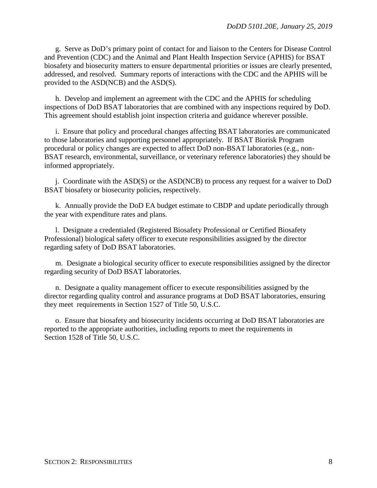g. Serve as DoD's primary point of contact for and liaison to the Centers for Disease Control and Prevention (CDC) and the Animal and Plant Health Inspection Service (APHIS) for BSAT biosafety and biosecurity matters to ensure departmental priorities or issues are clearly presented, addressed, and resolved. Summary reports of interactions with the CDC and the APHIS will be provided to the ASD(NCB) and the ASD(S).

h. Develop and implement an agreement with the CDC and the APHIS for scheduling inspections of DoD BSAT laboratories that are combined with any inspections required by DoD. This agreement should establish joint inspection criteria and guidance wherever possible.

i. Ensure that policy and procedural changes affecting BSAT laboratories are communicated to those laboratories and supporting personnel appropriately. If BSAT Biorisk Program procedural or policy changes are expected to affect DoD non-BSAT laboratories (e.g., non-BSAT research, environmental, surveillance, or veterinary reference laboratories) they should be informed appropriately.

j. Coordinate with the ASD(S) or the ASD(NCB) to process any request for a waiver to DoD BSAT biosafety or biosecurity policies, respectively.

k. Annually provide the DoD EA budget estimate to CBDP and update periodically through the year with expenditure rates and plans.

l. Designate a credentialed (Registered Biosafety Professional or Certified Biosafety Professional) biological safety officer to execute responsibilities assigned by the director regarding safety of DoD BSAT laboratories.

m. Designate a biological security officer to execute responsibilities assigned by the director regarding security of DoD BSAT laboratories.

n. Designate a quality management officer to execute responsibilities assigned by the director regarding quality control and assurance programs at DoD BSAT laboratories, ensuring they meet requirements in Section 1527 of Title 50, U.S.C.

o. Ensure that biosafety and biosecurity incidents occurring at DoD BSAT laboratories are reported to the appropriate authorities, including reports to meet the requirements in Section 1528 of Title 50, U.S.C.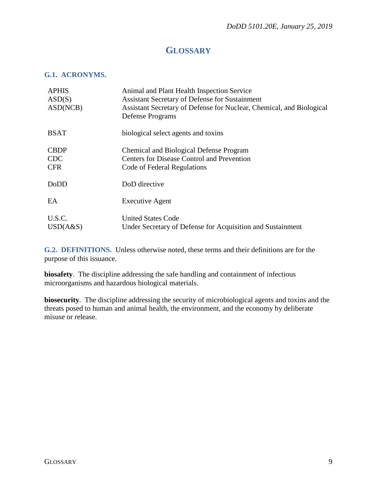## **GLOSSARY**

#### <span id="page-8-1"></span><span id="page-8-0"></span>**G.1. ACRONYMS.**

| <b>APHIS</b><br>ASD(S)<br>ASD(NCB)      | Animal and Plant Health Inspection Service<br>Assistant Secretary of Defense for Sustainment<br>Assistant Secretary of Defense for Nuclear, Chemical, and Biological<br>Defense Programs |
|-----------------------------------------|------------------------------------------------------------------------------------------------------------------------------------------------------------------------------------------|
| <b>BSAT</b>                             | biological select agents and toxins                                                                                                                                                      |
| <b>CBDP</b><br><b>CDC</b><br><b>CFR</b> | <b>Chemical and Biological Defense Program</b><br><b>Centers for Disease Control and Prevention</b><br>Code of Federal Regulations                                                       |
| DoDD                                    | DoD directive                                                                                                                                                                            |
| EA                                      | <b>Executive Agent</b>                                                                                                                                                                   |
| U.S.C.<br>USD(A&S)                      | <b>United States Code</b><br>Under Secretary of Defense for Acquisition and Sustainment                                                                                                  |

<span id="page-8-2"></span>**G.2. DEFINITIONS.** Unless otherwise noted, these terms and their definitions are for the purpose of this issuance.

**biosafety**. The discipline addressing the safe handling and containment of infectious microorganisms and hazardous biological materials.

**biosecurity**. The discipline addressing the security of microbiological agents and toxins and the threats posed to human and animal health, the environment, and the economy by deliberate misuse or release.